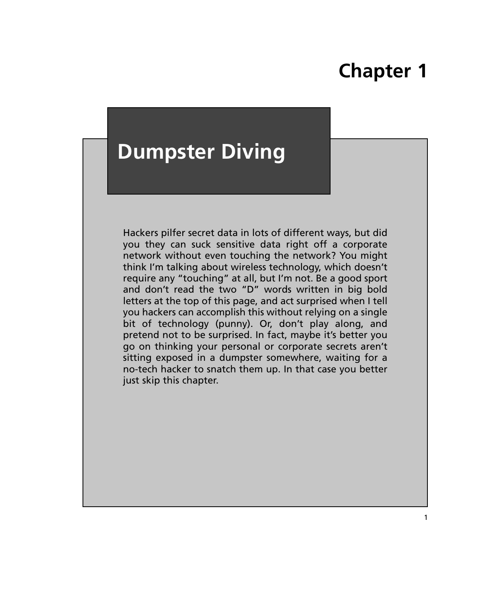## **Chapter 1**

# **Dumpster Diving**

Hackers pilfer secret data in lots of different ways, but did you they can suck sensitive data right off a corporate network without even touching the network? You might think I'm talking about wireless technology, which doesn't require any "touching" at all, but I'm not. Be a good sport and don't read the two "D" words written in big bold letters at the top of this page, and act surprised when I tell you hackers can accomplish this without relying on a single bit of technology (punny). Or, don't play along, and pretend not to be surprised. In fact, maybe it's better you go on thinking your personal or corporate secrets aren't sitting exposed in a dumpster somewhere, waiting for a no-tech hacker to snatch them up. In that case you better just skip this chapter.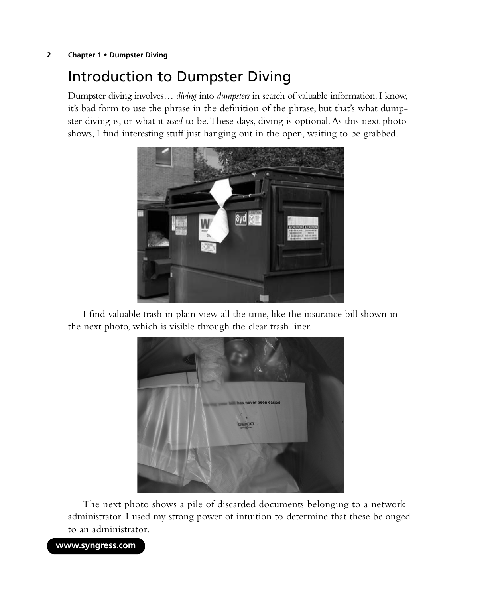### Introduction to Dumpster Diving

Dumpster diving involves… *diving* into *dumpsters* in search of valuable information. I know, it's bad form to use the phrase in the definition of the phrase, but that's what dumpster diving is, or what it *used* to be. These days, diving is optional. As this next photo shows, I find interesting stuff just hanging out in the open, waiting to be grabbed.



I find valuable trash in plain view all the time, like the insurance bill shown in the next photo, which is visible through the clear trash liner.



The next photo shows a pile of discarded documents belonging to a network administrator. I used my strong power of intuition to determine that these belonged to an administrator.

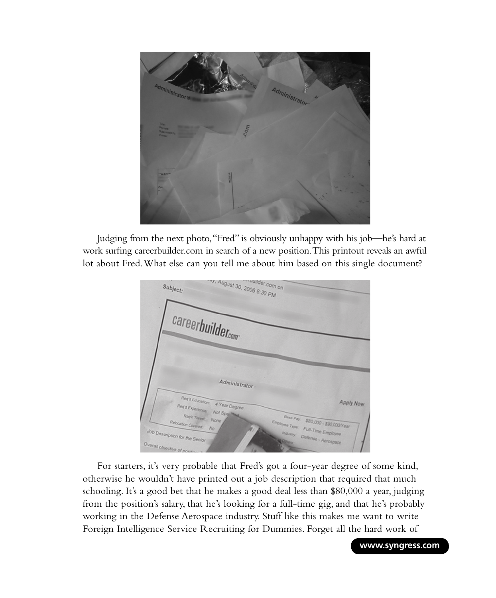

Judging from the next photo, "Fred" is obviously unhappy with his job—he's hard at work surfing careerbuilder.com in search of a new position. This printout reveals an awful lot about Fred. What else can you tell me about him based on this single document?



For starters, it's very probable that Fred's got a four-year degree of some kind, otherwise he wouldn't have printed out a job description that required that much schooling. It's a good bet that he makes a good deal less than \$80,000 a year, judging from the position's salary, that he's looking for a full-time gig, and that he's probably working in the Defense Aerospace industry. Stuff like this makes me want to write Foreign Intelligence Service Recruiting for Dummies. Forget all the hard work of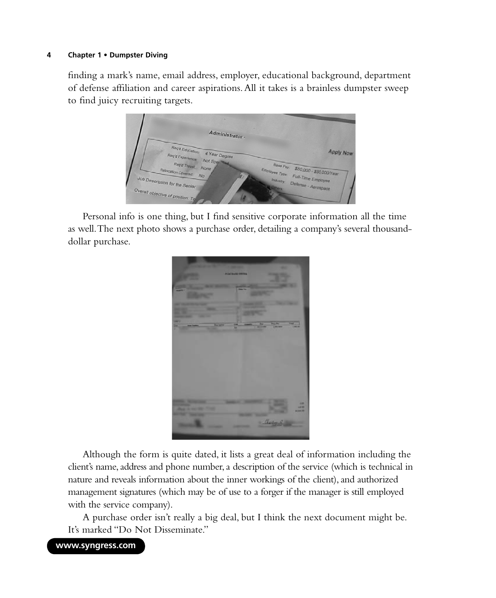#### **4 Chapter 1 • Dumpster Diving**

finding a mark's name, email address, employer, educational background, department of defense affiliation and career aspirations. All it takes is a brainless dumpster sweep to find juicy recruiting targets.



Personal info is one thing, but I find sensitive corporate information all the time as well. The next photo shows a purchase order, detailing a company's several thousanddollar purchase.



Although the form is quite dated, it lists a great deal of information including the client's name, address and phone number, a description of the service (which is technical in nature and reveals information about the inner workings of the client), and authorized management signatures (which may be of use to a forger if the manager is still employed with the service company).

A purchase order isn't really a big deal, but I think the next document might be. It's marked "Do Not Disseminate."

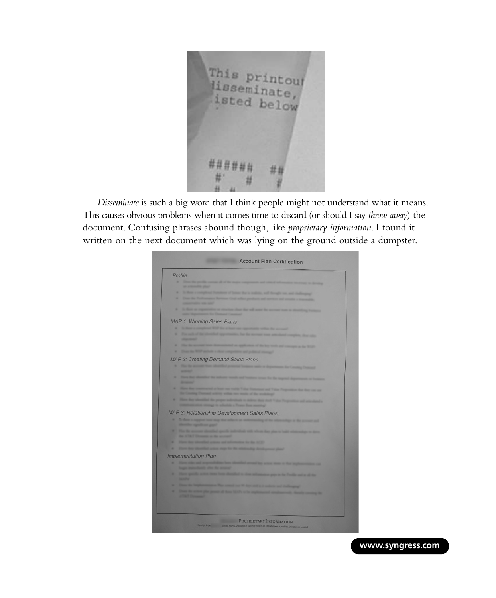

*Disseminate* is such a big word that I think people might not understand what it means. This causes obvious problems when it comes time to discard (or should I say *throw away*) the document. Confusing phrases abound though, like *proprietary information*. I found it written on the next document which was lying on the ground outside a dumpster.

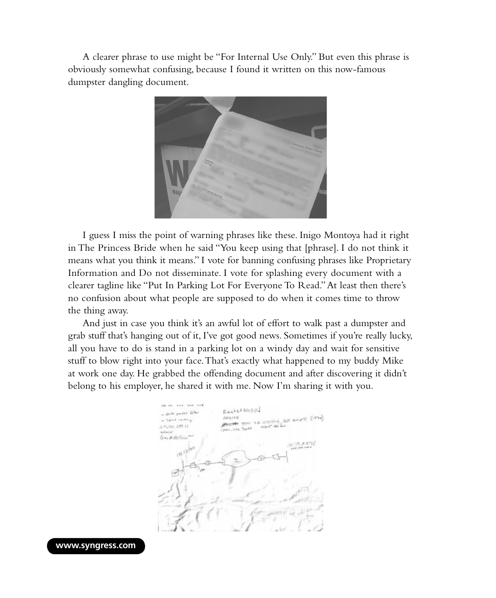A clearer phrase to use might be "For Internal Use Only." But even this phrase is obviously somewhat confusing, because I found it written on this now-famous dumpster dangling document.



I guess I miss the point of warning phrases like these. Inigo Montoya had it right in The Princess Bride when he said "You keep using that [phrase]. I do not think it means what you think it means." I vote for banning confusing phrases like Proprietary Information and Do not disseminate. I vote for splashing every document with a clearer tagline like "Put In Parking Lot For Everyone To Read." At least then there's no confusion about what people are supposed to do when it comes time to throw the thing away.

And just in case you think it's an awful lot of effort to walk past a dumpster and grab stuff that's hanging out of it, I've got good news. Sometimes if you're really lucky, all you have to do is stand in a parking lot on a windy day and wait for sensitive stuff to blow right into your face. That's exactly what happened to my buddy Mike at work one day. He grabbed the offending document and after discovering it didn't belong to his employer, he shared it with me. Now I'm sharing it with you.

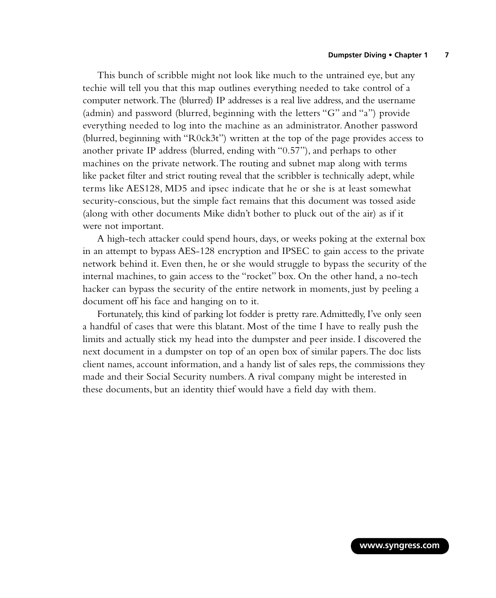This bunch of scribble might not look like much to the untrained eye, but any techie will tell you that this map outlines everything needed to take control of a computer network. The (blurred) IP addresses is a real live address, and the username (admin) and password (blurred, beginning with the letters "G" and "a") provide everything needed to log into the machine as an administrator. Another password (blurred, beginning with "R0ck3t") written at the top of the page provides access to another private IP address (blurred, ending with "0.57"), and perhaps to other machines on the private network. The routing and subnet map along with terms like packet filter and strict routing reveal that the scribbler is technically adept, while terms like AES128, MD5 and ipsec indicate that he or she is at least somewhat security-conscious, but the simple fact remains that this document was tossed aside (along with other documents Mike didn't bother to pluck out of the air) as if it were not important.

A high-tech attacker could spend hours, days, or weeks poking at the external box in an attempt to bypass AES-128 encryption and IPSEC to gain access to the private network behind it. Even then, he or she would struggle to bypass the security of the internal machines, to gain access to the "rocket" box. On the other hand, a no-tech hacker can bypass the security of the entire network in moments, just by peeling a document off his face and hanging on to it.

Fortunately, this kind of parking lot fodder is pretty rare. Admittedly, I've only seen a handful of cases that were this blatant. Most of the time I have to really push the limits and actually stick my head into the dumpster and peer inside. I discovered the next document in a dumpster on top of an open box of similar papers. The doc lists client names, account information, and a handy list of sales reps, the commissions they made and their Social Security numbers. A rival company might be interested in these documents, but an identity thief would have a field day with them.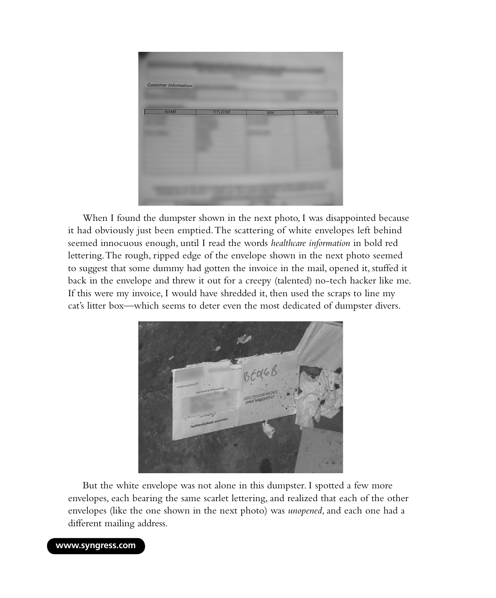

When I found the dumpster shown in the next photo, I was disappointed because it had obviously just been emptied. The scattering of white envelopes left behind seemed innocuous enough, until I read the words *healthcare information* in bold red lettering. The rough, ripped edge of the envelope shown in the next photo seemed to suggest that some dummy had gotten the invoice in the mail, opened it, stuffed it back in the envelope and threw it out for a creepy (talented) no-tech hacker like me. If this were my invoice, I would have shredded it, then used the scraps to line my cat's litter box—which seems to deter even the most dedicated of dumpster divers.



But the white envelope was not alone in this dumpster. I spotted a few more envelopes, each bearing the same scarlet lettering, and realized that each of the other envelopes (like the one shown in the next photo) was *unopened*, and each one had a different mailing address.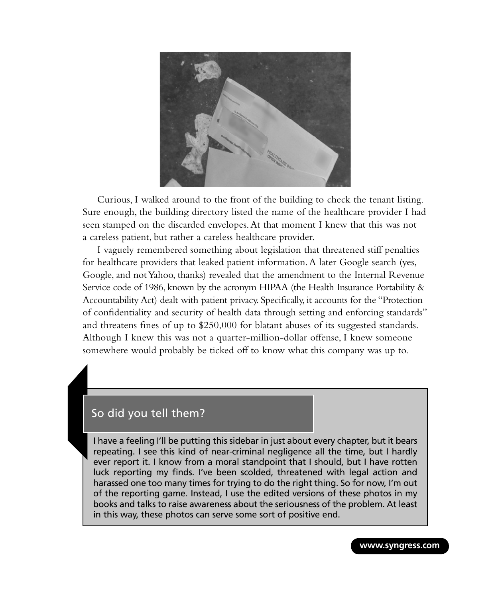

Curious, I walked around to the front of the building to check the tenant listing. Sure enough, the building directory listed the name of the healthcare provider I had seen stamped on the discarded envelopes. At that moment I knew that this was not a careless patient, but rather a careless healthcare provider.

I vaguely remembered something about legislation that threatened stiff penalties for healthcare providers that leaked patient information. A later Google search (yes, Google, and not Yahoo, thanks) revealed that the amendment to the Internal Revenue Service code of 1986, known by the acronym HIPAA (the Health Insurance Portability & Accountability Act) dealt with patient privacy. Specifically, it accounts for the "Protection of confidentiality and security of health data through setting and enforcing standards" and threatens fines of up to \$250,000 for blatant abuses of its suggested standards. Although I knew this was not a quarter-million-dollar offense, I knew someone somewhere would probably be ticked off to know what this company was up to.

### So did you tell them?

I have a feeling I'll be putting this sidebar in just about every chapter, but it bears repeating. I see this kind of near-criminal negligence all the time, but I hardly ever report it. I know from a moral standpoint that I should, but I have rotten luck reporting my finds. I've been scolded, threatened with legal action and harassed one too many times for trying to do the right thing. So for now, I'm out of the reporting game. Instead, I use the edited versions of these photos in my books and talks to raise awareness about the seriousness of the problem. At least in this way, these photos can serve some sort of positive end.

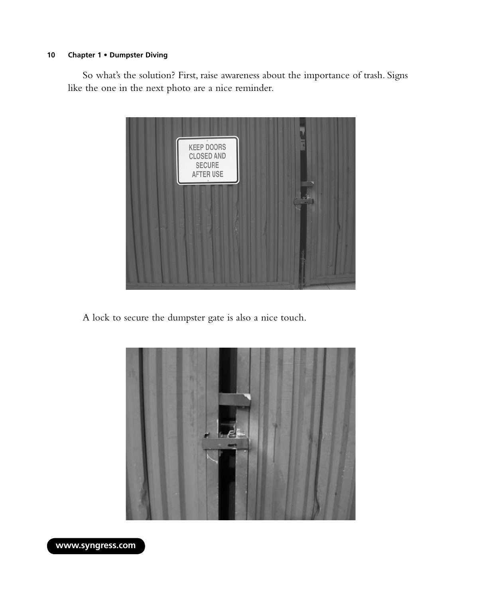#### **10 Chapter 1 • Dumpster Diving**

So what's the solution? First, raise awareness about the importance of trash. Signs like the one in the next photo are a nice reminder.



A lock to secure the dumpster gate is also a nice touch.

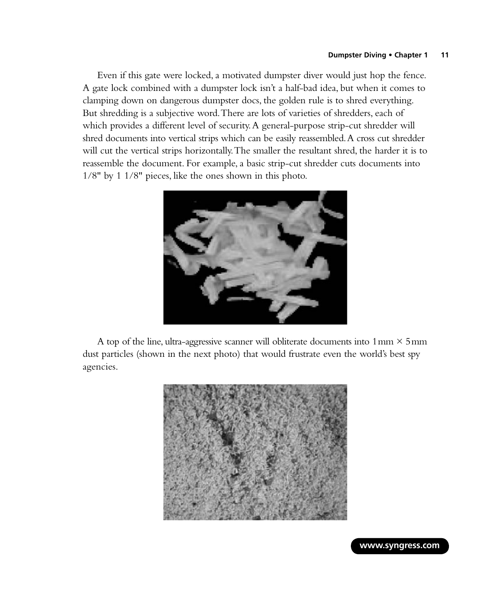Even if this gate were locked, a motivated dumpster diver would just hop the fence. A gate lock combined with a dumpster lock isn't a half-bad idea, but when it comes to clamping down on dangerous dumpster docs, the golden rule is to shred everything. But shredding is a subjective word. There are lots of varieties of shredders, each of which provides a different level of security. A general-purpose strip-cut shredder will shred documents into vertical strips which can be easily reassembled. A cross cut shredder will cut the vertical strips horizontally. The smaller the resultant shred, the harder it is to reassemble the document. For example, a basic strip-cut shredder cuts documents into 1/8" by 1 1/8" pieces, like the ones shown in this photo.



A top of the line, ultra-aggressive scanner will obliterate documents into  $1 \text{ mm} \times 5 \text{ mm}$ dust particles (shown in the next photo) that would frustrate even the world's best spy agencies.